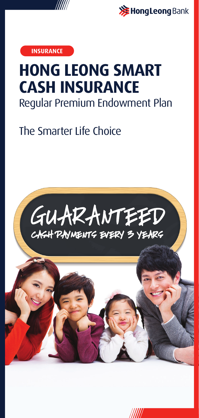

**注HongLeong**Bank

**INSURANCE**

# **HONG LEONG SMART CASH INSURANCE** Regular Premium Endowment Plan

# The Smarter Life Choice

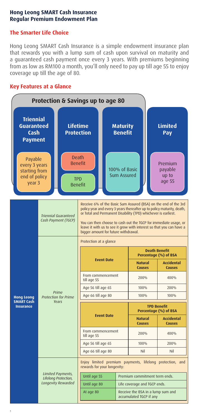#### **Hong Leong SMART Cash Insurance Regular Premium Endowment Plan**

#### **The Smarter Life Choice**

Hong Leong SMART Cash Insurance is a simple endowment insurance plan that rewards you with a lump sum of cash upon survival on maturity and a guaranteed cash payment once every 3 years. With premiums beginning from as low as RM100 a month, you'll only need to pay up till age 55 to enjoy coverage up till the age of 80.

#### **Key Features at a Glance**

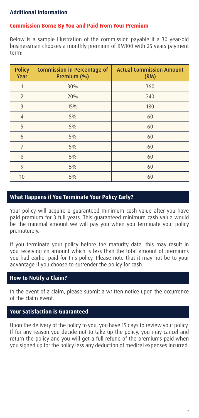# **Additional Information**

## **Commission Borne By You and Paid From Your Premium**

Below is a sample illustration of the commission payable if a 30 year-old businessman chooses a monthly premium of RM100 with 25 years payment term:

| <b>Policy</b><br>Year | <b>Commission in Percentage of</b><br>Premium (%) | <b>Actual Commission Amount</b><br>(RM) |
|-----------------------|---------------------------------------------------|-----------------------------------------|
| 1                     | 30%                                               | 360                                     |
| $\overline{2}$        | 20%                                               | 240                                     |
| 3                     | 15%                                               | 180                                     |
| $\overline{4}$        | $5\%$                                             | 60                                      |
| 5                     | $5\%$                                             | 60                                      |
| 6                     | $5\%$                                             | 60                                      |
| $\overline{7}$        | 5%                                                | 60                                      |
| 8                     | 5%                                                | 60                                      |
| 9                     | $5\%$                                             | 60                                      |
| 10                    | 5%                                                | 60                                      |

# **What Happens if You Terminate Your Policy Early?**

Your policy will acquire a guaranteed minimum cash value after you have paid premium for 3 full years. This guaranteed minimum cash value would be the minimal amount we will pay you when you terminate your policy prematurely.

If you terminate your policy before the maturity date, this may result in you receiving an amount which is less than the total amount of premiums you had earlier paid for this policy. Please note that it may not be to your advantage if you choose to surrender the policy for cash.

# **How to Notify a Claim?**

In the event of a claim, please submit a written notice upon the occurrence of the claim event.

# **Your Satisfaction is Guaranteed**

Upon the delivery of the policy to you, you have 15 days to review your policy. If for any reason you decide not to take up the policy, you may cancel and return the policy and you will get a full refund of the premiums paid when you signed up for the policy less any deduction of medical expenses incurred.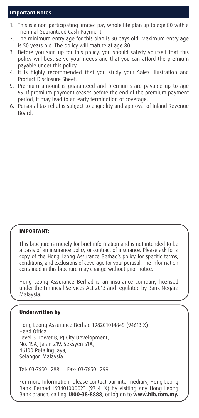#### **Important Notes**

- 1. This is a non-participating limited pay whole life plan up to age 80 with a Triennial Guaranteed Cash Payment.
- 2. The minimum entry age for this plan is 30 days old. Maximum entry age is 50 years old. The policy will mature at age 80.
- 3. Before you sign up for this policy, you should satisfy yourself that this policy will best serve your needs and that you can afford the premium payable under this policy.
- 4. It is highly recommended that you study your Sales Illustration and Product Disclosure Sheet.
- 5. Premium amount is guaranteed and premiums are payable up to age 55. If premium payment ceases before the end of the premium payment period, it may lead to an early termination of coverage.
- 6. Personal tax relief is subject to eligibility and approval of Inland Revenue Board.

#### **IMPORTANT:**

This brochure is merely for brief information and is not intended to be a basis of an insurance policy or contract of insurance. Please ask for a copy of the Hong Leong Assurance Berhad's policy for specific terms, conditions, and exclusions of coverage for your perusal. The information contained in this brochure may change without prior notice.

Hong Leong Assurance Berhad is an insurance company licensed under the Financial Services Act 2013 and regulated by Bank Negara Malaysia.

#### **Underwritten by**

Hong Leong Assurance Berhad 198201014849 (94613-X) Head Office Level 3, Tower B, PJ City Development, No. 15A, Jalan 219, Seksyen 51A, 46100 Petaling Jaya, Selangor, Malaysia.

Tel: 03-7650 1288 Fax: 03-7650 1299

For more Information, please contact our intermediary, Hong Leong Bank Berhad 193401000023 (97141-X) by visiting any Hong Leong Bank branch, calling **1800-38-8888**, or log on to **www.hlb.com.my.**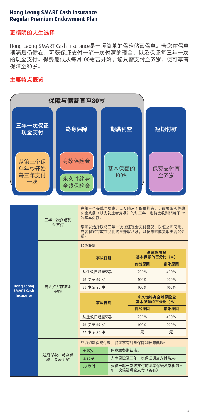#### **Hong Leong SMART Cash Insurance Regular Premium Endowment Plan**

# 更精明的人生选择

Hong Leong SMART Cash Insurance是一项简单的保险储蓄保单。若您在保单 期满后仍健在,可获保证支付一笔一次付清的现金,以及保证每三年一次 的现金支付。保费最低从每月100令吉开始,您只需支付至55岁,便可享有 保障至80岁。

## 主要特点概览

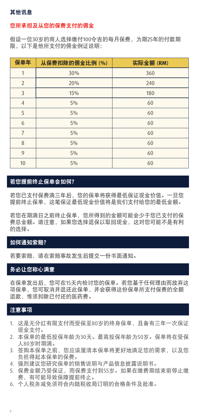#### 其他讯息

#### 您所承担及从您的保费支付的佣金

假设一位30岁的商人选择缴付100令吉的每月保费,为期25年的付款期 限,以下是他所支付的佣金例证说明:

| 保单年            | 从保费扣除的佣金比例(%) | 实际金额(RM) |
|----------------|---------------|----------|
| $\mathbf{1}$   | 30%           | 360      |
| $\overline{2}$ | 20%           | 240      |
| 3              | 15%           | 180      |
| $\overline{4}$ | $5\%$         | 60       |
| 5              | $5\%$         | 60       |
| 6              | $5\%$         | 60       |
| $\overline{7}$ | $5\%$         | 60       |
| 8              | $5\%$         | 60       |
| 9              | $5\%$         | 60       |
| 10             | $5\%$         | 60       |

#### 若您提前终止保单会如何?

若您已支付保费满三年后,您的保单将获得最低保证现金价值。一旦您 提前终止保单,这笔保证最低现金价值将是我们支付给您的最低金额。

若您在期满日之前终止保单,您所得到的金额可能会少于您已支付的保 费总金额。请注意,如果您选择退保以取回现金,这对您可能不是有利 的选择。

#### 如何通知索赔?

若要索赔,请在索赔事故发生后提交一份书面通知。

#### 务必让您称心满意

在保单发出后,您可在15天内检讨您的保单。若您基于任何理由而放弃这 项保单,您可取消并退还此保单,并会获得这份保单所支付保费的全额 退款,惟须扣除已付还的医药费。

#### 注意事项

5

- 1. 这是无分红有限支付而受保至80岁的终身保单,且备有三年一次保证 现金支付。
- 2. 本保单的最低投保年龄为30天。最高投保年龄为50岁。保单将在受保 人80岁时期满。
- 3. 签购本保单之前,您应该厘清本保单将更好地满足您的需求,以及您 负担得起本保单的保费。
- 4. 强烈建议您研究保单的销售说明与产品信息披露说明书。
- 5. 保费金额乃受保证,而保费支付到55岁。如果在缴费期结束前停止缴 费,有可能导致保障提前终止。
- 6. 个人税务减免须符合内陆税收局订明的合格条件及批准。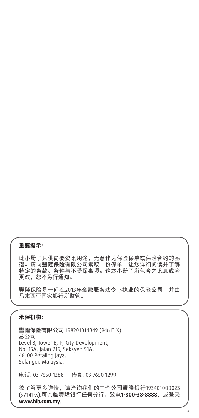#### 重要提示:

此小册子只供简要资讯用途,无意作为保险保单或保险合约的基 础。请向豐隆保险有限公司索取一份保单,让您详细阅读并了解 特定的条款、条件与不受保事项。这本小册子所包含之讯息或会 更改,恕不另行通知。

豐隆保险是一间在2013年金融服务法令下执业的保险公司,并由 马来西亚国家银行所监管。

## 承保机构:

豐隆保险有限公司 198201014849 (94613-X) 总公司 Level 3, Tower B, PJ City Development, No. 15A, Jalan 219, Seksyen 51A, 46100 Petaling Jaya, Selangor, Malaysia.

电话: 03-7650 1288 传真: 03-7650 1299

欲了解更多详情,请洽询我们的中介公司豐隆银行193401000023 (97141-X),可亲临豐隆银行任何分行、致电1-800-38-8888, 或登录 **www.hlb.com.my**.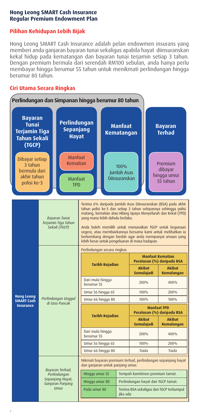#### **Hong Leong SMART Cash Insurance Regular Premium Endowment Plan**

# **Pilihan Kehidupan Lebih Bijak**

Hong Leong SMART Cash Insurance adalah pelan endowmen insurans yang memberi anda ganjaran bayaran tunai sekaligus apabila hayat diinsuranskan kekal hidup pada kematangan dan bayaran tunai terjamin setiap 3 tahun. Dengan premium bermula dari serendah RM100 sebulan, anda hanya perlu membayar hingga berumur 55 tahun untuk menikmati perlindungan hingga berumur 80 tahun.

## **Ciri Utama Secara Ringkas**

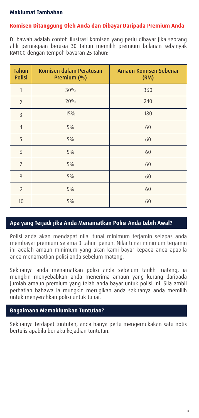#### **Maklumat Tambahan**

#### **Komisen Ditanggung Oleh Anda dan Dibayar Daripada Premium Anda**

Di bawah adalah contoh ilustrasi komisen yang perlu dibayar jika seorang ahli perniagaan berusia 30 tahun memilih premium bulanan sebanyak RM100 dengan tempoh bayaran 25 tahun:

| <b>Tahun</b><br><b>Polisi</b> | Komisen dalam Peratusan<br>Premium (%) | Amaun Komisen Sebenar<br>(RM) |
|-------------------------------|----------------------------------------|-------------------------------|
| $\mathbf{1}$                  | 30%                                    | 360                           |
| $\overline{2}$                | 20%                                    | 240                           |
| 3                             | 15%                                    | 180                           |
| $\overline{4}$                | 5%                                     | 60                            |
| 5                             | 5%                                     | 60                            |
| 6                             | 5%                                     | 60                            |
| $\overline{7}$                | 5%                                     | 60                            |
| 8                             | 5%                                     | 60                            |
| 9                             | 5%                                     | 60                            |
| 10                            | 5%                                     | 60                            |

#### **Apa yang Terjadi jika Anda Menamatkan Polisi Anda Lebih Awal?**

Polisi anda akan mendapat nilai tunai minimum terjamin selepas anda membayar premium selama 3 tahun penuh. Nilai tunai minimum terjamin ini adalah amaun minimum yang akan kami bayar kepada anda apabila anda menamatkan polisi anda sebelum matang.

Sekiranya anda menamatkan polisi anda sebelum tarikh matang, ia mungkin menyebabkan anda menerima amaun yang kurang daripada jumlah amaun premium yang telah anda bayar untuk polisi ini. Sila ambil perhatian bahawa ia mungkin merugikan anda sekiranya anda memilih untuk menyerahkan polisi untuk tunai.

# **Bagaimana Memaklumkan Tuntutan?**

Sekiranya terdapat tuntutan, anda hanya perlu mengemukakan satu notis bertulis apabila berlaku kejadian tuntutan.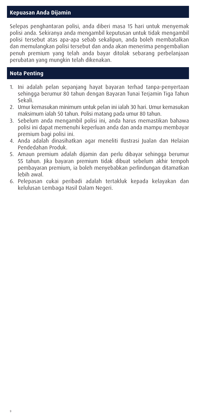#### **Kepuasan Anda Dijamin**

Selepas penghantaran polisi, anda diberi masa 15 hari untuk menyemak polisi anda. Sekiranya anda mengambil keputusan untuk tidak mengambil polisi tersebut atas apa-apa sebab sekalipun, anda boleh membatalkan dan memulangkan polisi tersebut dan anda akan menerima pengembalian penuh premium yang telah anda bayar ditolak sebarang perbelanjaan perubatan yang mungkin telah dikenakan.

# **Nota Penting**

- 1. Ini adalah pelan sepanjang hayat bayaran terhad tanpa-penyertaan sehingga berumur 80 tahun dengan Bayaran Tunai Terjamin Tiga Tahun Sekali.
- 2. Umur kemasukan minimum untuk pelan ini ialah 30 hari. Umur kemasukan maksimum ialah 50 tahun. Polisi matang pada umur 80 tahun.
- 3. Sebelum anda mengambil polisi ini, anda harus memastikan bahawa polisi ini dapat memenuhi keperluan anda dan anda mampu membayar premium bagi polisi ini.
- 4. Anda adalah dinasihatkan agar meneliti Ilustrasi Jualan dan Helaian Pendedahan Produk.
- 5. Amaun premium adalah dijamin dan perlu dibayar sehingga berumur 55 tahun. Jika bayaran premium tidak dibuat sebelum akhir tempoh pembayaran premium, ia boleh menyebabkan perlindungan ditamatkan lebih awal.
- 6. Pelepasan cukai peribadi adalah tertakluk kepada kelayakan dan kelulusan Lembaga Hasil Dalam Negeri.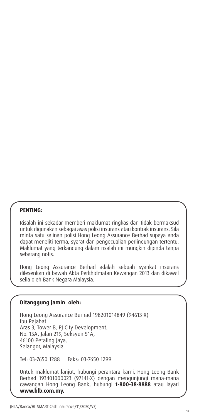# **PENTING:**

Risalah ini sekadar memberi maklumat ringkas dan tidak bermaksud untuk digunakan sebagai asas polisi insurans atau kontrak insurans. Sila minta satu salinan polisi Hong Leong Assurance Berhad supaya anda dapat meneliti terma, syarat dan pengecualian perlindungan tertentu. Maklumat yang terkandung dalam risalah ini mungkin dipinda tanpa sebarang notis.

Hong Leong Assurance Berhad adalah sebuah syarikat insurans dilesenkan di bawah Akta Perkhidmatan Kewangan 2013 dan dikawal selia oleh Bank Negara Malaysia.

## **Ditanggung jamin oleh:**

Hong Leong Assurance Berhad 198201014849 (94613-X) Ibu Pejabat Aras 3, Tower B, PJ City Development, No. 15A, Jalan 219, Seksyen 51A, 46100 Petaling Jaya, Selangor, Malaysia.

Tel: 03-7650 1288 Faks: 03-7650 1299

Untuk maklumat lanjut, hubungi perantara kami, Hong Leong Bank Berhad 193401000023 (97141-X) dengan mengunjungi mana-mana cawangan Hong Leong Bank, hubungi **1-800-38-8888** atau layari **www.hlb.com.my.**